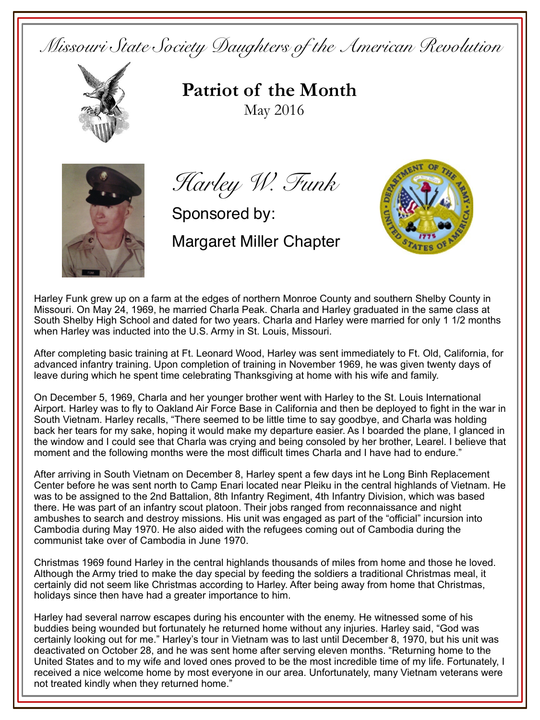*Missouri State Society Daughters of the American Revolution* 



**Patriot of the Month**May 2016



*Harley W. Funk*

Sponsored by:

Margaret Miller Chapter



Harley Funk grew up on a farm at the edges of northern Monroe County and southern Shelby County in Missouri. On May 24, 1969, he married Charla Peak. Charla and Harley graduated in the same class at South Shelby High School and dated for two years. Charla and Harley were married for only 1 1/2 months when Harley was inducted into the U.S. Army in St. Louis, Missouri.

After completing basic training at Ft. Leonard Wood, Harley was sent immediately to Ft. Old, California, for advanced infantry training. Upon completion of training in November 1969, he was given twenty days of leave during which he spent time celebrating Thanksgiving at home with his wife and family.

On December 5, 1969, Charla and her younger brother went with Harley to the St. Louis International Airport. Harley was to fly to Oakland Air Force Base in California and then be deployed to fight in the war in South Vietnam. Harley recalls, "There seemed to be little time to say goodbye, and Charla was holding back her tears for my sake, hoping it would make my departure easier. As I boarded the plane, I glanced in the window and I could see that Charla was crying and being consoled by her brother, Learel. I believe that moment and the following months were the most difficult times Charla and I have had to endure."

After arriving in South Vietnam on December 8, Harley spent a few days int he Long Binh Replacement Center before he was sent north to Camp Enari located near Pleiku in the central highlands of Vietnam. He was to be assigned to the 2nd Battalion, 8th Infantry Regiment, 4th Infantry Division, which was based there. He was part of an infantry scout platoon. Their jobs ranged from reconnaissance and night ambushes to search and destroy missions. His unit was engaged as part of the "official" incursion into Cambodia during May 1970. He also aided with the refugees coming out of Cambodia during the communist take over of Cambodia in June 1970.

Christmas 1969 found Harley in the central highlands thousands of miles from home and those he loved. Although the Army tried to make the day special by feeding the soldiers a traditional Christmas meal, it certainly did not seem like Christmas according to Harley. After being away from home that Christmas, holidays since then have had a greater importance to him.

Harley had several narrow escapes during his encounter with the enemy. He witnessed some of his buddies being wounded but fortunately he returned home without any injuries. Harley said, "God was certainly looking out for me." Harley's tour in Vietnam was to last until December 8, 1970, but his unit was deactivated on October 28, and he was sent home after serving eleven months. "Returning home to the United States and to my wife and loved ones proved to be the most incredible time of my life. Fortunately, I received a nice welcome home by most everyone in our area. Unfortunately, many Vietnam veterans were not treated kindly when they returned home."